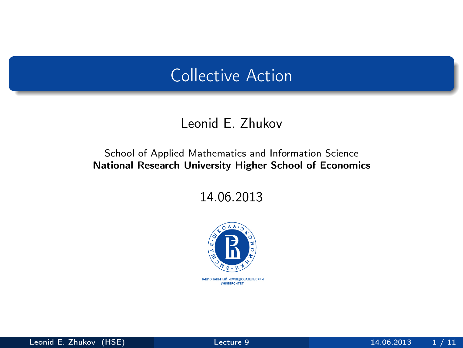### Collective Action

#### Leonid E. Zhukov

#### School of Applied Mathematics and Information Science National Research University Higher School of Economics

14.06.2013



<span id="page-0-0"></span>НАЦИОНАЛЬНЫЙ ИССЛЕДОВАТЕЛЬСКИЙ **YHMBEPCWTET**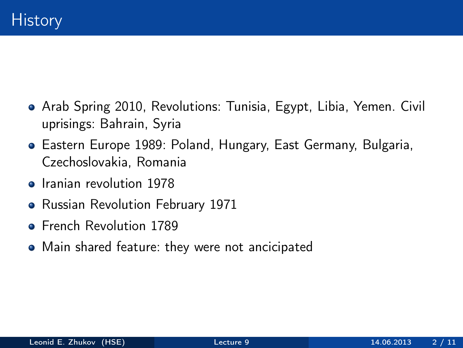- Arab Spring 2010, Revolutions: Tunisia, Egypt, Libia, Yemen. Civil uprisings: Bahrain, Syria
- Eastern Europe 1989: Poland, Hungary, East Germany, Bulgaria, Czechoslovakia, Romania
- **•** Iranian revolution 1978
- Russian Revolution February 1971
- **French Revolution 1789**
- Main shared feature: they were not ancicipated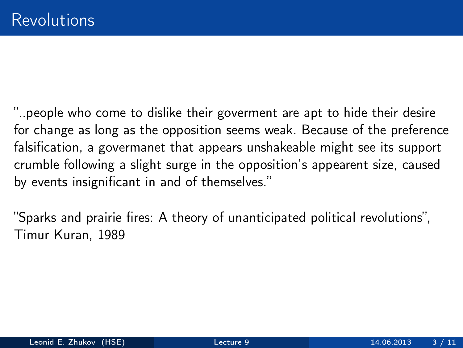"..people who come to dislike their goverment are apt to hide their desire for change as long as the opposition seems weak. Because of the preference falsification, a govermanet that appears unshakeable might see its support crumble following a slight surge in the opposition's appearent size, caused by events insignificant in and of themselves."

"Sparks and prairie fires: A theory of unanticipated political revolutions", Timur Kuran, 1989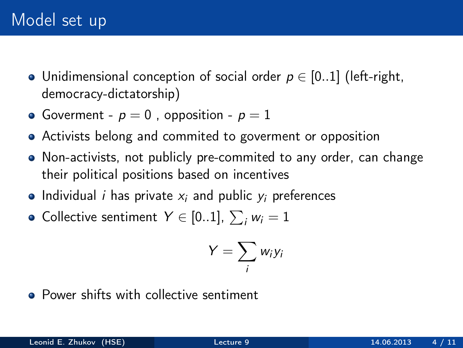- Unidimensional conception of social order  $p \in [0..1]$  (left-right, democracy-dictatorship)
- Goverment  $p = 0$ , opposition  $p = 1$
- Activists belong and commited to goverment or opposition
- Non-activists, not publicly pre-commited to any order, can change their political positions based on incentives
- Individual *i* has private  $x_i$  and public  $y_i$  preferences
- Collective sentiment  $\, \ Y \in [0..1],\, \sum_i w_i = 1$

$$
Y=\sum_i w_i y_i
$$

**•** Power shifts with collective sentiment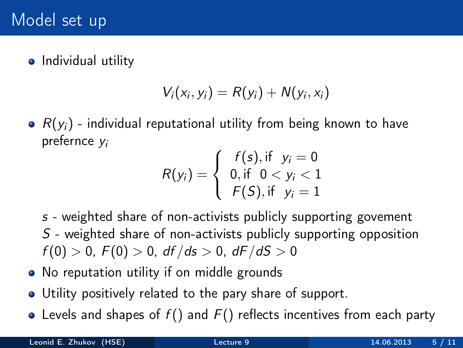• Individual utility

$$
V_i(x_i, y_i) = R(y_i) + N(y_i, x_i)
$$

•  $R(y_i)$  - individual reputational utility from being known to have prefernce y<sup>i</sup>

$$
R(y_i) = \begin{cases} f(s), & \text{if } y_i = 0 \\ 0, & \text{if } 0 < y_i < 1 \\ F(S), & \text{if } y_i = 1 \end{cases}
$$

- s weighted share of non-activists publicly supporting govement S - weighted share of non-activists publicly supporting opposition  $f(0) > 0$ ,  $F(0) > 0$ ,  $df/ds > 0$ ,  $dF/dS > 0$
- No reputation utility if on middle grounds
- Utility positively related to the pary share of support.
- Levels and shapes of  $f()$  and  $F()$  reflects incentives from each party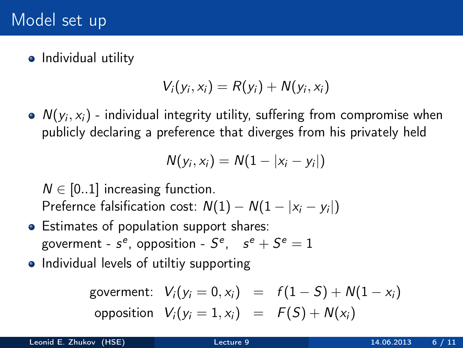### Model set up

• Individual utility

$$
V_i(y_i,x_i)=R(y_i)+N(y_i,x_i)
$$

 $\mathcal{N}(y_i, x_i)$  - individual integrity utility, suffering from compromise when publicly declaring a preference that diverges from his privately held

$$
N(y_i, x_i) = N(1-|x_i - y_i|)
$$

 $N \in [0..1]$  increasing function. Prefernce falsification cost:  $N(1) - N(1 - |x_i - y_i|)$ 

- Estimates of population support shares: goverment -  $s^e$ , opposition -  $S^e$ ,  $s^e + S^e = 1$
- Individual levels of utiltiy supporting

governent: 
$$
V_i(y_i = 0, x_i) = f(1 - S) + N(1 - x_i)
$$

\nopposition  $V_i(y_i = 1, x_i) = F(S) + N(x_i)$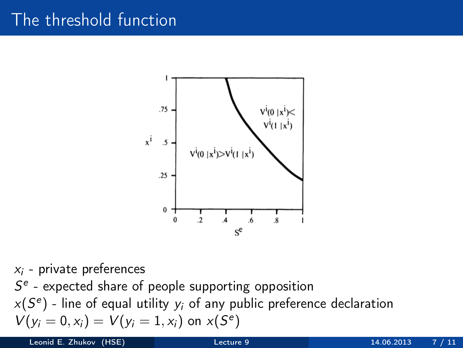## The threshold function



 $x_i$  - private preferences  $S<sup>e</sup>$  - expected share of people supporting opposition  $x(S<sup>e</sup>)$  - line of equal utility  $y_i$  of any public preference declaration  $V(y_i = 0, x_i) = V(y_i = 1, x_i)$  on  $x(S^e)$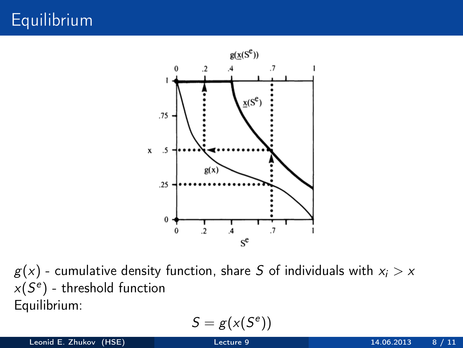# Equilibrium



 $g(x)$  - cumulative density function, share S of individuals with  $x_i > x$  $x(S<sup>e</sup>)$  - threshold function Equilibrium:

$$
S=g(\mathbf{x}(S^e))
$$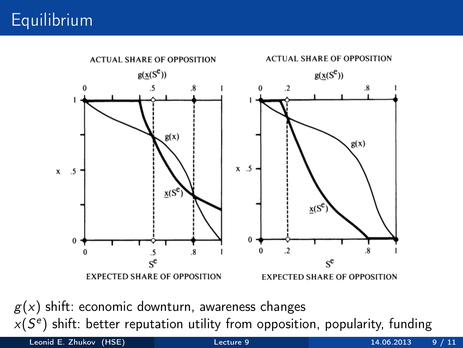# **Equilibrium**



 $g(x)$  shift: economic downturn, awareness changes  $x(S<sup>e</sup>)$  shift: better reputation utility from opposition, popularity, funding

Leonid E. Zhukov (HSE) [Lecture 9](#page-0-0) 14.06.2013 9 / 11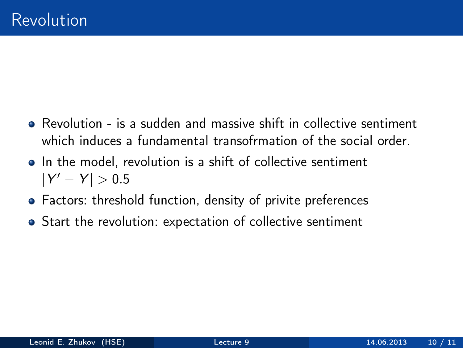- Revolution is a sudden and massive shift in collective sentiment which induces a fundamental transofrmation of the social order
- In the model, revolution is a shift of collective sentiment  $|Y' - Y| > 0.5$
- Factors: threshold function, density of privite preferences
- Start the revolution: expectation of collective sentiment